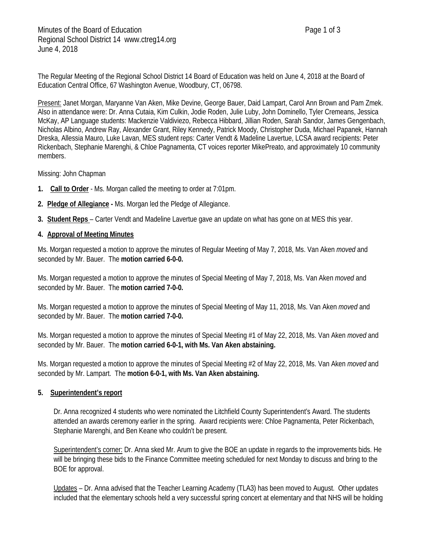The Regular Meeting of the Regional School District 14 Board of Education was held on June 4, 2018 at the Board of Education Central Office, 67 Washington Avenue, Woodbury, CT, 06798.

Present: Janet Morgan, Maryanne Van Aken, Mike Devine, George Bauer, Daid Lampart, Carol Ann Brown and Pam Zmek. Also in attendance were: Dr. Anna Cutaia, Kim Culkin, Jodie Roden, Julie Luby, John Dominello, Tyler Cremeans, Jessica McKay, AP Language students: Mackenzie Valdiviezo, Rebecca Hibbard, Jillian Roden, Sarah Sandor, James Gengenbach, Nicholas Albino, Andrew Ray, Alexander Grant, Riley Kennedy, Patrick Moody, Christopher Duda, Michael Papanek, Hannah Dreska, Allessia Mauro, Luke Lavan, MES student reps: Carter Vendt & Madeline Lavertue, LCSA award recipients: Peter Rickenbach, Stephanie Marenghi, & Chloe Pagnamenta, CT voices reporter MikePreato, and approximately 10 community members.

## Missing: John Chapman

- **1. Call to Order** Ms. Morgan called the meeting to order at 7:01pm.
- **2. Pledge of Allegiance -** Ms. Morgan led the Pledge of Allegiance.
- **3. Student Reps**  Carter Vendt and Madeline Lavertue gave an update on what has gone on at MES this year.

## **4. Approval of Meeting Minutes**

Ms. Morgan requested a motion to approve the minutes of Regular Meeting of May 7, 2018, Ms. Van Aken *moved* and seconded by Mr. Bauer. The **motion carried 6-0-0.**

Ms. Morgan requested a motion to approve the minutes of Special Meeting of May 7, 2018, Ms. Van Aken *moved* and seconded by Mr. Bauer. The **motion carried 7-0-0.**

Ms. Morgan requested a motion to approve the minutes of Special Meeting of May 11, 2018, Ms. Van Aken *moved* and seconded by Mr. Bauer. The **motion carried 7-0-0.**

Ms. Morgan requested a motion to approve the minutes of Special Meeting #1 of May 22, 2018, Ms. Van Aken *moved* and seconded by Mr. Bauer. The **motion carried 6-0-1, with Ms. Van Aken abstaining.**

Ms. Morgan requested a motion to approve the minutes of Special Meeting #2 of May 22, 2018, Ms. Van Aken *moved* and seconded by Mr. Lampart. The **motion 6-0-1, with Ms. Van Aken abstaining.**

## **5. Superintendent's report**

Dr. Anna recognized 4 students who were nominated the Litchfield County Superintendent's Award. The students attended an awards ceremony earlier in the spring. Award recipients were: Chloe Pagnamenta, Peter Rickenbach, Stephanie Marenghi, and Ben Keane who couldn't be present.

Superintendent's corner: Dr. Anna sked Mr. Arum to give the BOE an update in regards to the improvements bids. He will be bringing these bids to the Finance Committee meeting scheduled for next Monday to discuss and bring to the BOE for approval.

Updates – Dr. Anna advised that the Teacher Learning Academy (TLA3) has been moved to August. Other updates included that the elementary schools held a very successful spring concert at elementary and that NHS will be holding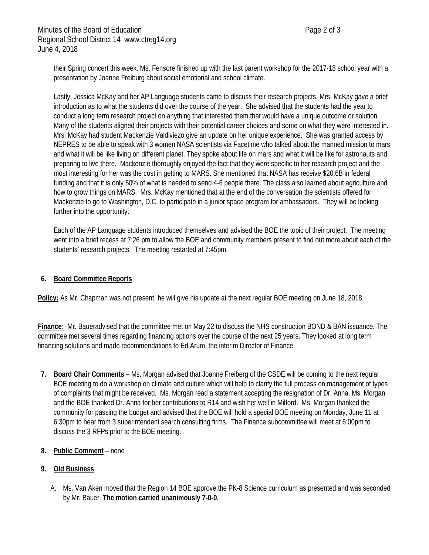their Spring concert this week. Ms. Fensore finished up with the last parent workshop for the 2017-18 school year with a presentation by Joanne Freiburg about social emotional and school climate.

Lastly, Jessica McKay and her AP Language students came to discuss their research projects. Mrs. McKay gave a brief introduction as to what the students did over the course of the year. She advised that the students had the year to conduct a long term research project on anything that interested them that would have a unique outcome or solution. Many of the students aligned their projects with their potential career choices and some on what they were interested in. Mrs. McKay had student Mackenzie Valdiviezo give an update on her unique experience. She was granted access by NEPRES to be able to speak with 3 women NASA scientists via Facetime who talked about the manned mission to mars and what it will be like living on different planet. They spoke about life on mars and what it will be like for astronauts and preparing to live there. Mackenzie thoroughly enjoyed the fact that they were specific to her research project and the most interesting for her was the cost in getting to MARS. She mentioned that NASA has receive \$20.6B in federal funding and that it is only 50% of what is needed to send 4-6 people there. The class also learned about agriculture and how to grow things on MARS. Mrs. McKay mentioned that at the end of the conversation the scientists offered for Mackenzie to go to Washington, D.C. to participate in a junior space program for ambassadors. They will be looking further into the opportunity.

Each of the AP Language students introduced themselves and advised the BOE the topic of their project. The meeting went into a brief recess at 7:26 pm to allow the BOE and community members present to find out more about each of the students' research projects. The meeting restarted at 7:45pm.

# **6. Board Committee Reports**

**Policy:** As Mr. Chapman was not present, he will give his update at the next regular BOE meeting on June 18, 2018.

**Finance:** Mr. Baueradvised that the committee met on May 22 to discuss the NHS construction BOND & BAN issuance. The committee met several times regarding financing options over the course of the next 25 years. They looked at long term financing solutions and made recommendations to Ed Arum, the interim Director of Finance.

**7. Board Chair Comments** – Ms. Morgan advised that Joanne Freiberg of the CSDE will be coming to the next regular BOE meeting to do a workshop on climate and culture which will help to clarify the full process on management of types of complaints that might be received. Ms. Morgan read a statement accepting the resignation of Dr. Anna. Ms. Morgan and the BOE thanked Dr. Anna for her contributions to R14 and wish her well in Milford. Ms. Morgan thanked the community for passing the budget and advised that the BOE will hold a special BOE meeting on Monday, June 11 at 6:30pm to hear from 3 superintendent search consulting firms. The Finance subcommittee will meet at 6:00pm to discuss the 3 RFPs prior to the BOE meeting.

# **8. Public Comment** – none

# **9. Old Business**

A. Ms. Van Aken moved that the Region 14 BOE approve the PK-8 Science curriculum as presented and was seconded by Mr. Bauer. **The motion carried unanimously 7-0-0.**